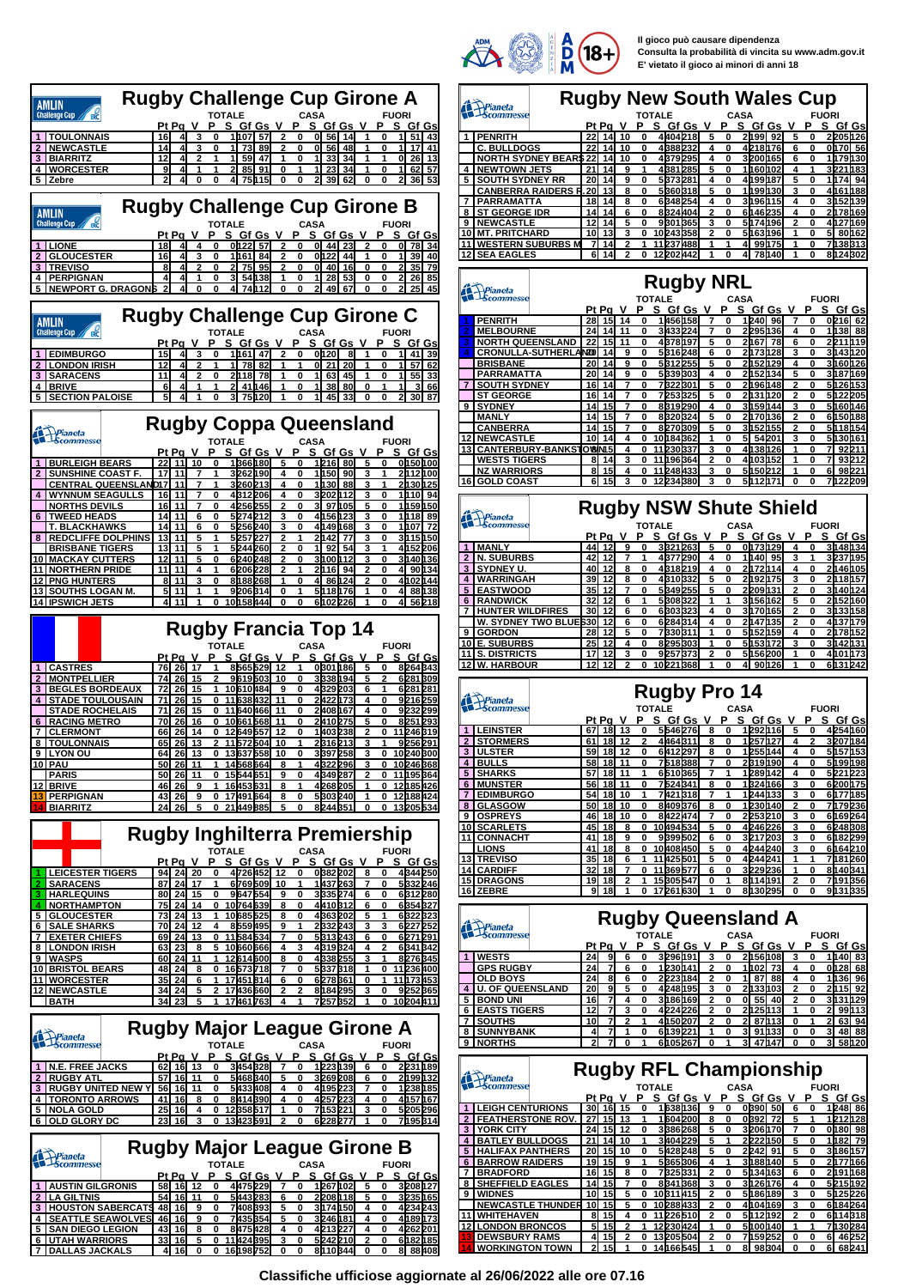

**Il gioco può causare dipendenza Consulta la probabilità di vincita su www.adm.gov.it E' vietato il gioco ai minori di anni 18**

|                                                                     | <b>Rugby Challenge Cup Girone A</b>                                                                                                                                             |                                                                                                                                                                                                                                                                                                                                                                                                                                                                                                          |
|---------------------------------------------------------------------|---------------------------------------------------------------------------------------------------------------------------------------------------------------------------------|----------------------------------------------------------------------------------------------------------------------------------------------------------------------------------------------------------------------------------------------------------------------------------------------------------------------------------------------------------------------------------------------------------------------------------------------------------------------------------------------------------|
| AMLIN<br><b>Challenge Cup</b>                                       | <b>FUORI</b><br>CASA                                                                                                                                                            | Prianeta                                                                                                                                                                                                                                                                                                                                                                                                                                                                                                 |
| <b>TOULONNAIS</b>                                                   | <u>SGfGs</u><br>P<br>Р<br>_S_Gf Gs<br>Р<br>S Gf Gs<br><u>Pt Pa</u><br>16<br>1 107  57<br>0 56<br>14<br>51<br>  43<br>41<br>3<br>0<br>0<br>11<br>0                               | PENRIT<br>1                                                                                                                                                                                                                                                                                                                                                                                                                                                                                              |
| <b>NEWCASTLE</b><br>2                                               | 1<br>89<br>OI 56<br>48<br>1<br>14<br>4<br>3<br>0<br>-73<br>2<br>0<br>1<br>0<br>17<br>41                                                                                         | C. BULL                                                                                                                                                                                                                                                                                                                                                                                                                                                                                                  |
| <b>BIARRITZ</b><br><b>4 IWORCESTER</b>                              | 12<br>59<br>33<br>26<br>13<br>4<br>2<br>1<br>47<br>1<br>1<br>34<br>1<br>1<br>0<br>1<br>0<br>4<br>2 85 91<br>11<br>23<br>34<br>11<br>62<br>57<br>9<br>1<br>0<br>1<br>1<br>0<br>1 | <b>NORTH</b><br><b>NEWTO</b><br>4                                                                                                                                                                                                                                                                                                                                                                                                                                                                        |
| 5   Zebre                                                           | 2<br>4<br>0<br>0<br>41<br>75h <sub>15</sub><br>0<br>0<br>21<br>39<br>0<br>2<br>36<br>62<br>0<br>53                                                                              | 5<br><b>SOUTH</b>                                                                                                                                                                                                                                                                                                                                                                                                                                                                                        |
|                                                                     |                                                                                                                                                                                 | <b>CANBEI</b><br><b>PARRAI</b><br>7                                                                                                                                                                                                                                                                                                                                                                                                                                                                      |
| AMLIN                                                               | <b>Rugby Challenge Cup Girone B</b>                                                                                                                                             | <b>ST GEO</b><br>8                                                                                                                                                                                                                                                                                                                                                                                                                                                                                       |
| <b>Challenge Cup</b>                                                | <b>TOTALE</b><br><b>FUORI</b><br><b>CASA</b><br>Р<br>S_Gf Gs<br>P<br>S_Gf_Gs<br>Р<br>S Gf Gs<br>Pt Pa V<br>v                                                                    | <b>NEWCA</b><br>10 MT. PRI                                                                                                                                                                                                                                                                                                                                                                                                                                                                               |
| <b>LIONE</b>                                                        | 0122<br>78<br>34<br>2<br>0<br>44<br>23<br>2<br>$\mathbf{0}$<br>18<br>4<br>4<br>0<br>-57<br>0<br>0                                                                               | 11 WESTER                                                                                                                                                                                                                                                                                                                                                                                                                                                                                                |
| <b>GLOUCESTER</b><br>2<br><b>TREVISO</b><br>3                       | 16<br>4<br>1161<br>84<br>2<br>0h22<br>44<br>1<br>11<br>39<br>40<br>3<br>O<br>U<br>0<br>95<br>0   40<br>16<br>0<br>21<br>35<br>8<br>4<br>2<br>0<br>2<br>75<br>2<br>0<br>0<br>79  | 12 SEA EA                                                                                                                                                                                                                                                                                                                                                                                                                                                                                                |
| <b>PERPIGNAN</b>                                                    | 1<br>28<br>2<br>26<br>4<br>4<br>0<br>3<br>54<br>138<br>0<br>53<br>0<br>0<br>85<br>1                                                                                             |                                                                                                                                                                                                                                                                                                                                                                                                                                                                                                          |
| <b>NEWPORT G. DRAGONS</b><br>5                                      | $\overline{2}$<br>4<br>0<br>41<br>74h12<br>0<br>$\mathbf{2}$<br>49<br>67<br>$\mathbf{z}$<br>25<br>45<br>0<br>0<br>0<br>0                                                        | Pianeta                                                                                                                                                                                                                                                                                                                                                                                                                                                                                                  |
|                                                                     | <b>Rugby Challenge Cup Girone C</b>                                                                                                                                             |                                                                                                                                                                                                                                                                                                                                                                                                                                                                                                          |
| AMLIN<br><b>Challenge Cup</b>                                       | <b>FUORI</b><br>TOTALE<br>CASA                                                                                                                                                  | <b>PENRITI</b><br><b>MELBOI</b>                                                                                                                                                                                                                                                                                                                                                                                                                                                                          |
|                                                                     | Pt Pa<br><u>SGfGsV</u><br>Р<br>S Gf Gs<br>V<br>Р<br>S Gf Gs<br>v                                                                                                                | <b>NORTH</b>                                                                                                                                                                                                                                                                                                                                                                                                                                                                                             |
| <b>EDIMBURGO</b><br><b>LONDON IRISH</b>                             | 15<br>1 h 61<br>0h20<br>41<br>39<br>4<br>3<br>0<br>47<br>2<br>0<br>8<br>1<br>0<br>1<br>57<br>12<br>2<br>78<br>82<br>O 21<br>20<br>4<br>1<br>1<br>0<br>62                        | <b>CRONUI</b><br><b>BRISBA</b>                                                                                                                                                                                                                                                                                                                                                                                                                                                                           |
| 3<br><b>SARACENS</b>                                                | 11<br>4<br>2<br>2118<br>78<br>1I 63<br>45<br>11<br>55<br>0<br>1<br>0<br>1<br>0<br>33                                                                                            | <b>PARRAI</b>                                                                                                                                                                                                                                                                                                                                                                                                                                                                                            |
| <b>BRIVE</b><br>4<br><b>SECTION PALOISE</b>                         | 6<br>4<br>1<br>1<br>21<br>41146<br>1<br>0<br>1<br>38<br>80<br>0<br>1<br>1<br>3<br>66<br>2<br>5<br>3<br>75h20<br>45<br>33<br>4<br>0<br>0<br>ŋ<br>30<br>87                        | SOUTH<br>ST GEO                                                                                                                                                                                                                                                                                                                                                                                                                                                                                          |
|                                                                     |                                                                                                                                                                                 | <b>SYDNEY</b>                                                                                                                                                                                                                                                                                                                                                                                                                                                                                            |
|                                                                     | <b>Rugby Coppa Queensland</b>                                                                                                                                                   | <b>MANLY</b><br><b>CANBEI</b>                                                                                                                                                                                                                                                                                                                                                                                                                                                                            |
| Prianeta                                                            | TOTALE<br><b>CASA</b><br><b>FUORI</b>                                                                                                                                           | 12<br><b>NEWCA</b>                                                                                                                                                                                                                                                                                                                                                                                                                                                                                       |
| <b>BURLEIGH BEARS</b>                                               | Pt Pa<br>S Gf Gs<br>D<br>S Gf Gs<br>D<br>Gf Gs<br>D<br>22<br>11<br>10<br>1366180<br>1216<br>80<br>5<br>0150100<br>5<br>o<br>n<br>0                                              | <b>13 CANTER</b><br><b>WESTS</b>                                                                                                                                                                                                                                                                                                                                                                                                                                                                         |
| <b>SUNSHINE COAST F</b>                                             | 17<br>11<br>3262190<br>1150<br>90<br>2h12h00<br>1<br>4<br>0<br>з<br>1<br>7                                                                                                      | NZ WAR                                                                                                                                                                                                                                                                                                                                                                                                                                                                                                   |
| <b>CENTRAL QUEENSLAN</b><br><b>WYNNUM SEAGULLS</b>                  | D17<br>3260213<br>1   130<br>2130125<br>11<br>7<br>3<br>4<br>0<br>88<br>16<br>11<br>4312206<br>4<br>3202<br>112<br>3<br>1110 94<br>7<br>0<br>0<br>0                             | 16 GOLD C                                                                                                                                                                                                                                                                                                                                                                                                                                                                                                |
| <b>NORTHS DEVILS</b>                                                | 16<br>11<br>0<br>4256255<br>3I 97<br>105<br>5<br>1   1 59   1 50<br>7<br>2<br>0<br>0                                                                                            |                                                                                                                                                                                                                                                                                                                                                                                                                                                                                                          |
| <b>TWEED HEADS</b><br><b>T. BLACKHAWKS</b>                          | 11<br>4156<br>1 h 18<br>5 274 212<br>123<br>14<br>6<br>0<br>3<br>0<br>0<br>89<br>14<br>11<br>5256240<br>4149<br>3<br>1107<br>6<br>0<br>з<br>0<br>168<br>0<br>72                 | Prianeta<br>Scomm                                                                                                                                                                                                                                                                                                                                                                                                                                                                                        |
| <b>REDCLIFFE DOLPHINS</b><br>8                                      | 13<br>11<br>5<br>51257<br>2<br>1<br>2h42<br>3<br>3115150<br>1<br>227<br>77<br>0                                                                                                 |                                                                                                                                                                                                                                                                                                                                                                                                                                                                                                          |
| <b>BRISBANE TIGERS</b>                                              | 4152206<br>13<br>11<br>5<br>5244<br>260<br>2<br>92<br>54<br>3<br>0<br>1<br>12<br>11<br>5<br>3<br>2                                                                              | <b>MANLY</b><br><b>N. SUBL</b>                                                                                                                                                                                                                                                                                                                                                                                                                                                                           |
| <b>MACKAY CUTTERS</b><br>10<br><u>11 NORTHERN PRIDE</u>             | 6240248<br>3100<br>112<br>3140 136<br>0<br>0<br>0<br>11<br>11<br>6206228<br>2h16<br>94<br>4 90 134<br>4<br>1<br>2<br>1<br>2<br>0                                                | 3<br><b>SYDNEY</b>                                                                                                                                                                                                                                                                                                                                                                                                                                                                                       |
| <b>PNG HUNTERS</b>                                                  | 11<br>8188268<br>86<br>124<br>8<br>0<br>0<br>4<br>2<br>0<br>4M 02<br>144<br>1<br>1<br>1<br>1                                                                                    | <b>WARRIN</b><br><b>EASTW</b>                                                                                                                                                                                                                                                                                                                                                                                                                                                                            |
| <b>13 SOUTHS LOGAN M.</b><br><b>14 IPSWICH JETS</b>                 | 5<br>9206314<br>5118176<br>88138<br>11<br>0<br>0<br>4<br>$\overline{4}$<br>11<br>1<br>0<br>10158444<br>0<br>0<br>6102<br>226<br>0<br>41<br>56218                                | <b>RANDW</b><br>6 <sup>1</sup>                                                                                                                                                                                                                                                                                                                                                                                                                                                                           |
|                                                                     |                                                                                                                                                                                 | <b>HUNTEF</b><br>W. SYDI                                                                                                                                                                                                                                                                                                                                                                                                                                                                                 |
|                                                                     | Rugby Francia Top 14                                                                                                                                                            | <b>GORDO</b><br>9                                                                                                                                                                                                                                                                                                                                                                                                                                                                                        |
|                                                                     | <b>TOTALE</b><br><b>CASA</b><br><b>FUORI</b>                                                                                                                                    | E. SUBL<br>10                                                                                                                                                                                                                                                                                                                                                                                                                                                                                            |
| <b>CASTRES</b>                                                      | <u>Pt Pa V</u><br>Р<br>P<br><u>SGfGs</u><br>S_Gf_Gs<br><u>Gf Gs</u><br>v<br>Р<br>0301186<br>8264343<br>26<br>17<br>8565529<br>12<br>5<br>76<br>0                                | <b>S. DISTR</b><br>W. HARI<br>12 <sub>1</sub>                                                                                                                                                                                                                                                                                                                                                                                                                                                            |
| <b>MONTPELLIER</b><br>2                                             | 26<br>619503<br>3338194<br>5<br>6281309<br>74<br>15<br>2<br>g<br>10<br>O<br>2                                                                                                   |                                                                                                                                                                                                                                                                                                                                                                                                                                                                                                          |
| <b>BEGLES BORDEAUX</b><br>3.<br><b>STADE TOULOUSAIN</b>             | 26<br>15<br>10610484<br>9<br>4329203<br>6281281<br>72<br>1<br>0<br>6<br>1<br>2422173<br>9216259<br>15<br>11638432<br>71<br>26<br>0<br>11<br>0<br>4<br>0                         |                                                                                                                                                                                                                                                                                                                                                                                                                                                                                                          |
| <b>STADE ROCHELAIS</b>                                              | 71<br>26<br>15<br>11640466<br>2408167<br>4<br>9232299<br>0<br>11<br>0<br>0                                                                                                      | Pianeta<br>Scomm                                                                                                                                                                                                                                                                                                                                                                                                                                                                                         |
| <b>RACING METRO</b><br>6<br><b>CLERMONT</b><br>7                    | 70<br>26<br>16<br>0<br>10661<br>11<br>0<br>2410<br>275<br>5<br>0<br>8251<br>568<br>293<br>1403238<br>26<br>14<br>12649557<br>12<br>2<br>11 246<br>66<br>0<br>0<br>0<br>319      | <b>LEINSTI</b>                                                                                                                                                                                                                                                                                                                                                                                                                                                                                           |
| <b>TOULONNAIS</b><br>8                                              | 65<br>26<br>13<br>11572504<br>10<br>1<br>2316213<br>3<br>9256291<br>2<br>1                                                                                                      |                                                                                                                                                                                                                                                                                                                                                                                                                                                                                                          |
|                                                                     |                                                                                                                                                                                 |                                                                                                                                                                                                                                                                                                                                                                                                                                                                                                          |
| 9<br>ΙΙ ΥΩΝ ΩΗ                                                      | 64<br><b>26</b><br>13<br>0<br>13637558<br>10<br>0<br>3397258<br>3<br>0<br>10240300                                                                                              |                                                                                                                                                                                                                                                                                                                                                                                                                                                                                                          |
| PAU<br>10 <sup>1</sup><br><b>PARIS</b>                              | 4322296<br>10246368<br>14568664<br>26 11<br>3<br>50<br>8<br>1<br>0<br>1<br>50 26<br>15544651<br>9<br>0<br>4349287<br>$\mathbf{2}$<br>11195364<br>11<br>0<br>0                   | <b>BULLS</b><br>4 <sup>1</sup>                                                                                                                                                                                                                                                                                                                                                                                                                                                                           |
| 12 BRIVE                                                            | 46 26<br>9<br>16453631<br>8<br>4268205<br>0<br>12185426<br>1<br>1<br>1                                                                                                          |                                                                                                                                                                                                                                                                                                                                                                                                                                                                                                          |
| <b>PERPIGNAN</b><br>13<br><b>BIARRITZ</b><br>14                     | 17491664<br>5303240<br>12188424<br>43 26<br>9<br>0<br>8<br>0<br>1<br>0<br>24 26<br>5<br>21 449 885<br>5<br>8244351<br>13 205 534<br>0<br>O<br>0<br>0                            | 7<br>8                                                                                                                                                                                                                                                                                                                                                                                                                                                                                                   |
|                                                                     |                                                                                                                                                                                 | 9 <sup>1</sup>                                                                                                                                                                                                                                                                                                                                                                                                                                                                                           |
|                                                                     | <b>Rugby Inghilterra Premiership</b>                                                                                                                                            | 10                                                                                                                                                                                                                                                                                                                                                                                                                                                                                                       |
|                                                                     | TOTALE<br><b>CASA</b><br><b>FUORI</b>                                                                                                                                           | <b>LIONS</b>                                                                                                                                                                                                                                                                                                                                                                                                                                                                                             |
| <b>LEICESTER TIGERS</b>                                             | P.<br>Pt Pa V<br><u>PS GfGsV</u><br>S Gf Gs V<br>P.<br><u>SGfGs</u><br>24<br>4726452 12<br>0382202<br>4344250<br>94<br>20<br>O<br>0<br>8<br>0                                   |                                                                                                                                                                                                                                                                                                                                                                                                                                                                                                          |
| <b>SARACENS</b>                                                     | 1437263<br>6769509<br>5332246<br>17<br>87<br>24<br>  10<br>7<br>0                                                                                                               |                                                                                                                                                                                                                                                                                                                                                                                                                                                                                                          |
| <b>HARLEQUINS</b><br>з.<br><b>NORTHAMPTON</b><br>4                  | 3335274<br>6312280<br>80 24<br>15<br>9647554<br>9<br>0<br>0<br>0<br>6<br>75I 24I<br>14<br>10 764 639<br>4410312<br>6354327<br>0<br>8<br>0<br>6<br>0                             |                                                                                                                                                                                                                                                                                                                                                                                                                                                                                                          |
| 5<br><b>GLOUCESTER</b>                                              | 4363202<br>6322323<br>73<br>24<br>13<br>10685525<br>5<br>1<br>8<br>0<br>1                                                                                                       |                                                                                                                                                                                                                                                                                                                                                                                                                                                                                                          |
| <b>SALE SHARKS</b><br>6<br><b>EXETER CHIEFS</b><br>7                | 2332243<br>6227252<br>12<br>8559495<br>70<br>  24 <br>4<br>9<br>1<br>3<br>3<br>69 24<br>13<br>0<br>5313243<br>6271291<br>0<br>11584534<br>7<br>6<br>0                           |                                                                                                                                                                                                                                                                                                                                                                                                                                                                                                          |
| 8<br><b>LONDON IRISH</b>                                            | 4319324<br>23<br>10660666<br>2<br>6341342<br>63<br>8<br>5<br>3<br>4<br>4                                                                                                        |                                                                                                                                                                                                                                                                                                                                                                                                                                                                                                          |
| 9   WASPS<br>10 BRISTOL BEARS                                       | 4338255<br>11<br>12614600<br>8276345<br>60 24<br>1<br>8<br>0<br>3<br>1<br>48 24<br>0<br>16573718<br>5337318<br>0<br>11 236 400<br>8<br>7<br>0<br>1                              |                                                                                                                                                                                                                                                                                                                                                                                                                                                                                                          |
| <b>11   WORCESTER</b>                                               | 17451814<br>6278361<br>11 173 453<br>35<br>24<br>6<br>1<br>6<br>0<br>0<br>1                                                                                                     |                                                                                                                                                                                                                                                                                                                                                                                                                                                                                                          |
| <b>12 NEWCASTLE</b><br><b>BATH</b>                                  | 8184295<br>17436660<br>9252365<br>34  24<br>5<br>2<br>2<br>2<br>3<br>0<br>34 23<br>17461763<br>7257352<br>10 204 411<br>5<br>1<br>4<br>1<br>1<br>0                              | 4                                                                                                                                                                                                                                                                                                                                                                                                                                                                                                        |
|                                                                     |                                                                                                                                                                                 |                                                                                                                                                                                                                                                                                                                                                                                                                                                                                                          |
|                                                                     | <b>Rugby Major League Girone A</b>                                                                                                                                              | 7                                                                                                                                                                                                                                                                                                                                                                                                                                                                                                        |
| Prianeta<br>Scommesse                                               | <b>TOTALE</b><br>CASA<br><b>FUORI</b>                                                                                                                                           |                                                                                                                                                                                                                                                                                                                                                                                                                                                                                                          |
|                                                                     | P<br>Pt Pa V<br>Р<br><u>SGfGsV</u><br><u>SGfGsV</u><br>P.<br><u>SGfGs</u><br>3454328<br>1223139<br>2231189<br>  16  13<br>62<br>- 6<br>0<br>0<br>7<br>0                         |                                                                                                                                                                                                                                                                                                                                                                                                                                                                                                          |
| <b>N.E. FREE JACKS</b><br><b>RUGBY ATL</b><br>2                     | 3269208<br>2199132<br>57<br>5468340<br>  16 <br>11<br>6<br>0<br>0<br>5<br>0                                                                                                     |                                                                                                                                                                                                                                                                                                                                                                                                                                                                                                          |
| <b>RUGBY UNITED NEW Y</b><br>3<br><b>TORONTO ARROWS</b><br>4        | 56<br>  16 <br>11<br>5433408<br>4195223<br>1238185<br>0<br>4<br>0<br>7<br>0<br>8414390<br>4257223<br>4157167<br>41<br>16<br>8<br>0<br>4<br>0<br>4<br>0                          |                                                                                                                                                                                                                                                                                                                                                                                                                                                                                                          |
| <u>5 NOLA GOLD</u>                                                  | 5205296<br>25<br>12358517<br>7153221<br>  16 <br>4<br>1<br>0<br>3<br>0<br>0                                                                                                     |                                                                                                                                                                                                                                                                                                                                                                                                                                                                                                          |
| 6 OLD GLORY DC                                                      | <b>23 16</b><br>13423591<br>6228277<br>7195314<br>3<br>0<br>2<br>0<br>1<br>0                                                                                                    | 2 <sup>1</sup>                                                                                                                                                                                                                                                                                                                                                                                                                                                                                           |
|                                                                     |                                                                                                                                                                                 |                                                                                                                                                                                                                                                                                                                                                                                                                                                                                                          |
|                                                                     | <b>Rugby Major League Girone B</b>                                                                                                                                              | 5 <sub>1</sub><br>6 <sup>1</sup>                                                                                                                                                                                                                                                                                                                                                                                                                                                                         |
| Prianeta<br>Scommesse                                               | <b>TOTALE</b><br><b>CASA</b><br><b>FUORI</b><br>Р<br>Pt Pg V<br>P<br><u>SGfGsV</u><br><u>SGfGsV</u><br>P.<br>S Gf Gs                                                            | $\overline{\phantom{a}}$                                                                                                                                                                                                                                                                                                                                                                                                                                                                                 |
| <b>AUSTIN GILGRONIS</b>                                             | 4475229<br>1267102<br>3208127<br>58 16 12<br>0<br>5<br>0<br>7                                                                                                                   | <b>STORMI</b><br>3 ULSTER<br><b>SHARKS</b><br>6 MUNSTI<br><b>EDIMBU</b><br><b>GLASG</b><br><b>OSPREY</b><br><b>SCARLE</b><br>11 CONNA<br>13 TREVIS<br>14 CARDIF<br>15 DRAGO<br>16 ZEBRE<br>Pianeta<br>Scomm<br><b>WESTS</b><br><u>GPS RU</u><br>OLD BO<br>U. OF Q<br>5 BOND U<br>6 EASTS<br><b>SOUTHS</b><br><b>8 SUNNYE</b><br>9 NORTHS<br>Prianeta<br><u>I LEIGH C</u><br><b>FEATHE</b><br>3 YORK C<br>4 BATLEY<br><b>HALIFA</b><br><b>BARRO</b><br><b>BRADF</b><br>SHEFFII<br>8<br><b>WIDNES</b><br>9 |
| <b>LA GILTNIS</b><br>$\overline{2}$ l<br><b>3 HOUSTON SABERCATS</b> | 3235165<br>54 16<br>5443283<br>2208118<br>11<br>0<br>0<br>5<br>0<br>6<br>48<br>  16<br>7408393<br>3174150<br>4234243<br>-9<br>0<br>5<br>0<br>4<br>0                             |                                                                                                                                                                                                                                                                                                                                                                                                                                                                                                          |
| <b>SEATTLE SEAWOLVES</b><br>4                                       | 4189173<br>7435354<br>46<br>  16 <br>5<br>3246181<br>9<br>0<br>0<br>4<br>0                                                                                                      |                                                                                                                                                                                                                                                                                                                                                                                                                                                                                                          |
| SAN DIEGO LEGION<br>5<br><u>6 UTAH WARRIORS</u>                     | 4213227<br>4262201<br>43<br>  16 <br>8475428<br>4<br>8<br>0<br>4<br>0<br>0<br>33 16<br>11424395<br>5242210<br>0<br>6182185<br>5<br>0<br>3<br>0<br>2<br>$4$ 16<br>16198752       | <b>NEWCA</b><br><u>11 WHITEH</u><br>12 LONDOI<br><b>13 DEWSB</b><br><b>WORKIN</b>                                                                                                                                                                                                                                                                                                                                                                                                                        |

| <b>Rugby New South Wales Cup</b><br>Prianeta<br>Scommesse                               |                                |                              |                                |                              |                                          |                              |                                                                |
|-----------------------------------------------------------------------------------------|--------------------------------|------------------------------|--------------------------------|------------------------------|------------------------------------------|------------------------------|----------------------------------------------------------------|
|                                                                                         | Pt Pa V                        |                              | TOTALE                         | P                            | CASA<br><u>SGfGsV</u>                    | <b>FUORI</b><br>P            | <u>SGfGs</u>                                                   |
| <b>PENRITH</b><br>1                                                                     | 14                             | 10<br>0                      | <u>PS GfGsV</u><br>4404218     | 0                            | 2199 92                                  | 5<br>0                       | 2205h26                                                        |
| <b>C. BULLDOGS</b>                                                                      | 22<br>14                       | 10<br>0                      | 4388232                        | 4<br>0                       | 4218176                                  | 6<br>0                       | 0170 56                                                        |
| <b>NORTH SYDNEY BEAR:</b>                                                               | 22<br>14                       | 10<br>0                      | 4379295                        | 4<br>0                       | 3200165                                  | 6<br>0                       | 1   179   130                                                  |
| <b>NEWTOWN JETS</b><br>4                                                                | 21<br>14                       | 1<br>9                       | 4381285                        | 5<br>0                       | 1160102                                  | 4<br>1                       | 3221183                                                        |
| 5                                                                                       | 20<br>14                       | 9<br>0                       |                                | 4<br>0                       | 4199187                                  | 5<br>0                       | 1174 94                                                        |
| <u>SOUTH SYDNEY RR</u>                                                                  |                                |                              | 5373281                        |                              |                                          |                              |                                                                |
| <b>CANBERRA RAIDERS F</b>                                                               | 20<br>13                       | 8<br>0                       | 5360318                        | 5<br>0                       | 1 h 99 h 30                              | 3<br>0                       | 41161 h 88                                                     |
| PARRAMATTA<br>7                                                                         | 14<br>18                       | 8<br>0                       | 6348254                        | 4<br>0                       | 3196115                                  | 4<br>0                       | 3152139                                                        |
| 8<br><b>ST GEORGE IDR</b>                                                               | 14<br>14                       | 6<br>0                       | 8324404                        | 2<br>0                       | 6146235                                  | 4<br>0                       | 2178169                                                        |
| <b>NEWCASTLE</b><br>9                                                                   | 12<br>14                       | 5<br>0                       | 9301365                        | 0<br>3                       | 5174196                                  | 2<br>0                       | 4127169                                                        |
| 10<br><b>MT. PRITCHARD</b>                                                              | 10<br>13                       | 0<br>3                       | 10243358                       | 2<br>0                       | 5163196                                  | 1<br>0                       | 5 80 162                                                       |
| 11<br><b>WESTERN SUBURBS M</b>                                                          | 7 I 14                         | 2<br>1                       | 11237488                       | 1<br>1                       | 4 99175                                  | 1<br>0                       | 7138313                                                        |
| <b>SEA EAGLES</b><br>12                                                                 | 6<br>14                        | 2<br>0                       | 12202442                       | 0                            | 4<br>78h40                               | 1<br>0                       | 8h24B02                                                        |
|                                                                                         |                                |                              |                                |                              |                                          |                              |                                                                |
|                                                                                         |                                |                              | <b>Rugby NRL</b>               |                              |                                          |                              |                                                                |
| Pianeta<br>Scommesse                                                                    |                                |                              | <b>TOTALE</b>                  |                              | <b>CASA</b>                              | <b>FUORI</b>                 |                                                                |
|                                                                                         | <u>Pt Pa</u>                   | v                            | <u>PS GfGsV</u>                | Р                            | <u>SGfGs</u>                             | $\mathbf v$<br>Р             | S_Gf Gs                                                        |
| <b>PENRITH</b>                                                                          | 28<br>15                       | 14<br>0                      | 1456158                        | 0                            | 1240 96                                  | 7<br>0                       | 0216 62                                                        |
| <b>MELBOURNE</b>                                                                        | 24<br>14                       | 11<br>0                      | 3433224                        | 0<br>7                       | 2295136                                  | 4<br>ŋ                       | 1 138  88                                                      |
| <b>NORTH QUEENSLAND</b><br>3                                                            | 22<br>15                       | 11<br>0                      | 4378197                        | 5<br>0                       | 2h67<br>78                               | 0<br>6                       | 2211119                                                        |
| <b>CRONULLA-SUTHERLANZO</b><br>4                                                        | 14                             | 9<br>0                       | 5316248                        | 0<br>6                       | 2173128                                  | з<br>0                       | 3143120                                                        |
| <b>BRISBANE</b>                                                                         | 20<br>14                       | 9<br>0                       | 5312255                        | 5<br>0                       | 2152129                                  | 4<br>0                       | 3160126                                                        |
| <b>PARRAMATTA</b>                                                                       | 20<br>14                       | 9<br>0                       | 5339303                        | 0<br>4                       | 2152134                                  | 5<br>0                       | 3h87h69                                                        |
| <b>SOUTH SYDNEY</b><br>7                                                                | 16<br>14                       | 7<br>0                       | 7322301                        | 5<br>0                       | 2196148                                  | 2<br>0                       | 5126153                                                        |
| <u>ST GEORGE</u>                                                                        | 16<br>14                       | 0<br>7                       | 7253325                        | 5<br>0                       | 2131120                                  | 2<br>0                       | 5122205                                                        |
|                                                                                         |                                |                              |                                |                              |                                          |                              |                                                                |
| 9<br><b>SYDNEY</b>                                                                      | 14<br>15                       | 7<br>0                       | 8319290                        | 0<br>4                       | 3159144                                  | 0<br>3                       | 5160 146                                                       |
| <b>MANLY</b>                                                                            | 15<br>14                       | 7<br>0                       | 8320324                        | 5<br>0                       | 2170136                                  | 2<br>0                       | 6150188                                                        |
| <b>CANBERRA</b>                                                                         | 14<br>15                       | 7<br>0                       | 8270309                        | 5<br>0                       | 3152155                                  | 2<br>0                       | 5118154                                                        |
| 12<br><b>NEWCASTLE</b>                                                                  | 10<br>14                       | 4<br>0                       | 10h84B62                       | 0<br>1                       | 54201<br>5                               | 3<br>0                       | 5h30h61                                                        |
| <b>CANTERBURY-BANKST</b><br>13                                                          | <b>OWN15</b>                   | 4<br>0                       | 11230337                       | 3<br>0                       | 4138126                                  | 1<br>7<br>0                  | 92211                                                          |
| <u>WESTS TIGERS</u>                                                                     | 14<br>8                        | 3<br>0                       | 11196364                       | 0<br>2                       | 4103152                                  | 1<br>0<br>71                 | 93212                                                          |
| <b>NZ WARRIORS</b>                                                                      | 8<br>15                        | 4<br>ŋ                       | 11248433                       | 3<br>0                       | 5h50212                                  | 1<br>0<br>6                  | 98221                                                          |
| 16<br><b>GOLD COAST</b>                                                                 | 6<br>15                        | 3<br>0                       | 12234380                       | 3<br>0                       | 5112171                                  | 0<br>0                       | 7122209                                                        |
|                                                                                         |                                |                              |                                |                              |                                          |                              |                                                                |
|                                                                                         |                                |                              |                                |                              | <b>Rugby NSW Shute Shield</b>            |                              |                                                                |
| Prianeta<br>Ecommesse                                                                   |                                |                              | <b>TOTALE</b>                  |                              | <b>CASA</b>                              | <b>FUORI</b>                 |                                                                |
|                                                                                         | Pt Pa                          | v<br>Р                       | S Gf Gs                        | V                            | S Gf Gs                                  | v                            | S Gf Gs                                                        |
| <b>MANLY</b><br>1                                                                       | 44<br>12                       | 9<br>0                       | 3321263                        | 5<br>0                       | 0h73h29                                  | 4<br>0                       | 3148134                                                        |
| $\overline{2}$<br><b>N. SUBURBS</b>                                                     | 42<br>12                       | 1<br>7                       | 4377290                        | 0<br>4                       | 1 h 40 l<br>95                           | 1<br>3                       | 3237h95                                                        |
| SYDNEY U.<br>3                                                                          | 40<br>12                       | 8<br>0                       | 4318219                        | 4<br>0                       | 2172114                                  | 4<br>0                       | 2146105                                                        |
| $\vert$<br><b>WARRINGAH</b>                                                             | 39<br>12                       | 8<br>0                       | 4310332                        | 5<br>0                       | 2192175                                  | 3<br>0                       | 2118157                                                        |
| 5<br><b>EASTWOOD</b>                                                                    | 35<br>12                       | 7<br>0                       | 5349255                        | 5<br>0                       | 2209131                                  | 2<br>0                       | 3140 124                                                       |
| <b>RANDWICK</b>                                                                         | 32<br>12                       | 1                            | 5308322                        | 1<br>1                       | 3156162                                  |                              | 2152160                                                        |
| 6                                                                                       |                                | 6                            |                                |                              |                                          | 0<br>5                       |                                                                |
| 7<br><b>HUNTER WILDFIRES</b>                                                            | 30<br>12                       | 0<br>6                       | 6303323                        | 4<br>0                       | 3170165                                  | 2<br>0                       | 3133158                                                        |
| <b>W. SYDNEY TWO BLUE</b>                                                               | 530<br>12                      | 0<br>6                       | 6284314                        | 0<br>4                       | 2h47<br>135                              | 2<br>0                       | 4137179                                                        |
| 9<br><b>GORDON</b>                                                                      | 28<br>12                       | 5<br>0                       | 7330311                        | 1<br>0                       | 5152159                                  | 4<br>0                       | 2178152                                                        |
| 10<br><b>E. SUBURBS</b>                                                                 | 25<br>12                       | 4<br>0                       | 8295303                        | 0<br>1                       | 5153172                                  | 3<br>U                       | 3142131                                                        |
| <b>S. DISTRICTS</b><br>11                                                               | 17<br>12                       | 0<br>3                       | 9257373                        | 2<br>0                       | 5156200                                  | 1<br>0                       | 4101173                                                        |
| <b>W. HARBOUR</b>                                                                       | 12<br>12                       | 2<br>0                       | 10 221 368                     | 1<br>0                       | 90 <sub>126</sub><br>41                  | 1<br>0                       | 6131242                                                        |
|                                                                                         |                                |                              |                                |                              |                                          |                              |                                                                |
|                                                                                         |                                |                              | <b>Rugby Pro 14</b>            |                              |                                          |                              |                                                                |
|                                                                                         |                                |                              |                                |                              |                                          |                              |                                                                |
| Prianeta<br>Ecommesse                                                                   |                                |                              | <b>TOTALE</b>                  |                              | <b>CASA</b>                              | <b>FUORI</b>                 |                                                                |
|                                                                                         | Pt Pa                          | ۷<br>P                       | SGfGs                          | Р                            | s<br>Gf Gs                               | P                            | S Gf Gs                                                        |
| <b>LEINSTER</b><br>1                                                                    | 67<br>18                       | 13<br>0                      | 5546276                        | 8<br>0                       | 1292116                                  | -5<br>0                      | 4254160                                                        |
| $\overline{2}$<br><b>STORMERS</b>                                                       | 18<br>61                       | 12<br>2                      | 4464311                        | 8<br>0                       | 1257h27                                  | 2<br>4                       | 3207184                                                        |
| 3<br><b>ULSTER</b>                                                                      | 59<br>18                       | 12<br>0                      | 6412297                        | 8<br>0                       | 1255144                                  | 4<br>0                       | 5h57h53                                                        |
| 4<br><b>BULLS</b>                                                                       | 58<br>18                       | 11<br>0                      | 7518388                        | 0<br>7                       | 2319190                                  | 4<br>0                       | 5199198                                                        |
|                                                                                         | 18                             | 11<br>1                      |                                |                              | 1                                        | 0<br>4                       | 221                                                            |
| <u>SHARKS</u>                                                                           |                                |                              | <u>6510365</u>                 |                              | 289142                                   |                              |                                                                |
| <b>6 MUNSTER</b>                                                                        | 56                             | 18  11<br>0                  | 7524341                        | 8<br>0                       | 1324166                                  | 3<br>0                       | 6200175                                                        |
| 7 EDIMBURGO                                                                             | 54 18 10                       | 1                            | 7421318                        | 1<br>7                       | 1244133                                  | 3<br>0                       | 6177185                                                        |
| 8 GLASGOW                                                                               | 50 18                          | 10<br>0                      | 8409376                        | 8<br>0                       | 1230140                                  | 0<br>2                       | 7179236                                                        |
| 9 OSPREYS                                                                               | 46   18                        | 10<br>0                      | 8422474                        | 0<br>7                       | 2253210                                  | 3<br>0                       | 6169264                                                        |
|                                                                                         | 45   18                        | - 8                          | 0 10 494 534                   | 5<br>$\mathbf 0$             | 4246226                                  | 3<br>$\mathbf{0}$            | 6248308                                                        |
|                                                                                         | $41$ 18                        | 9<br>0                       | 9399502                        | 0<br>6                       | 3217203                                  | 0<br>3                       | 6182299                                                        |
| LIONS                                                                                   | 41   18                        | 0<br>8                       | 10408450                       | 5<br>0                       | 4244240                                  | 0<br>3                       | 6164210                                                        |
|                                                                                         | $35$ 18                        | 6                            | 1 11 4 25 501                  | -5<br>$\mathbf{0}$           | 4244241                                  | $\mathbf{1}$<br>1            | 7181260                                                        |
|                                                                                         |                                | 7<br>0                       | 11369577                       | 0<br>6                       |                                          | 1<br>0                       |                                                                |
|                                                                                         | 32 18                          |                              |                                |                              | 3229236                                  |                              | 8140341                                                        |
|                                                                                         | 19   18                        | 2<br>1<br>$\overline{1}$     | 15305547                       | 0<br>1<br>1<br>0             | 8h14h91                                  | 2<br>0<br>$0\quad 0$         | <b>7191356</b>                                                 |
|                                                                                         | 9 18                           |                              | 0 17 261 630                   |                              | 8130295                                  |                              | 9131335                                                        |
|                                                                                         |                                |                              |                                |                              |                                          |                              |                                                                |
|                                                                                         |                                |                              | <b>TOTALE</b>                  |                              | <b>Rugby Queensland A</b><br><b>CASA</b> | <b>FUORI</b>                 |                                                                |
| Prianeta<br>Scommesse                                                                   | Pt Pa V                        | P                            | S Gf Gs V                      | P                            | S Gf Gs V                                | P                            |                                                                |
| <b>WESTS</b><br>1.                                                                      | 24<br>9                        | 6<br>0                       | 3296191                        | 3<br>0                       | 2156108                                  | 3<br>0                       | S Gf Gs<br>1140 83                                             |
| <b>GPS RUGBY</b>                                                                        | 7<br>24                        | 6<br>0                       | 1230141                        | 0<br>2                       | 1h <sub>02</sub> 73                      | 4<br>0                       | oh <sub>28</sub> 68                                            |
| <b>OLD BOYS</b>                                                                         | 24<br>8                        | 6<br>0                       | 2223184                        | $\mathbf{2}$<br>0            | 1 87 88                                  | $\mathbf{0}$<br>4            | 1136 96                                                        |
| 4 U. OF QUEENSLAND                                                                      | 20<br>9                        | 5<br>0                       | 4248195                        | 0<br>3                       | 2133103                                  | 0<br>2                       |                                                                |
| 5 BOND UNI                                                                              | 7<br>16                        | 4<br>0                       | 3186169                        | 2<br>$\mathbf{0}$            | 0 55 40                                  | $\mathbf{2}$<br>$\mathbf{0}$ |                                                                |
| <b>6 EASTS TIGERS</b>                                                                   | 12<br>7                        | 3                            | $0 \quad 4$ 24226              | $\mathbf{0}$<br>2            | 2125113                                  | 1<br>$\mathbf 0$             |                                                                |
| 7<br><b>SOUTHS</b>                                                                      | 10<br>7                        | 1<br>2                       | 4150207                        | 0<br>2                       | 2 87113                                  | 0<br>1.                      |                                                                |
| <b>8 ISUNNYBANK</b>                                                                     | $\overline{7}$<br>4            | 1<br>0                       | 6139221                        | 1<br>0                       | 3 91 133                                 | 0<br>0                       |                                                                |
| 9   NORTHS                                                                              | $\mathbf{2}$<br>$\overline{7}$ | 0<br>1                       | 6105267                        | $\mathbf{0}$<br>$\mathbf{1}$ | 3 47 147                                 | 0<br>0                       |                                                                |
| 10 SCARLETS<br>11 CONNACHT<br>13 TREVISO<br>14 CARDIFF<br><b>15 DRAGONS</b><br>16 ZEBRE |                                |                              |                                |                              |                                          |                              | 2115 92<br>3131129<br>2 99 13<br>2 63 94<br>3 48 88<br>3 58120 |
|                                                                                         |                                |                              |                                |                              | <b>Rugby RFL Championship</b>            |                              |                                                                |
| Prianeta<br>Scommesse                                                                   | Pt Pa V                        | P                            | <b>TOTALE</b><br><u>SGfGsV</u> | Р                            | <b>CASA</b><br><u>SGfGsV</u>             | <b>FUORI</b><br>P.           |                                                                |
|                                                                                         | 30                             | 15<br>0                      |                                | 9<br>0                       |                                          | 0<br>6                       |                                                                |
| 1 LEIGH CENTURIONS                                                                      | 16                             |                              | 1638136                        |                              | 0390 50                                  |                              |                                                                |
| <b>2   FEATHERSTONE ROV.</b>                                                            | 27 15                          | 13<br>1                      | 1604200                        | 8<br>0                       | 0392 72                                  | 5<br>1                       |                                                                |
| <b>3 YORK CITY</b>                                                                      | 24 15 12                       |                              | 0 3386 268                     | - 5<br>0                     | 3206170                                  | 7<br>$\mathbf 0$             |                                                                |
| <b>4 BATLEY BULLDOGS</b>                                                                | 21<br>14                       | 10<br>1                      | 3404229                        | 5<br>1                       | 2222150                                  | <u>5</u><br>0                | S Gf Gs<br>1248 86<br>1212128<br>0180 98<br>1182 79            |
| <b>5 HALIFAX PANTHERS</b>                                                               | 20 15 10                       |                              | 0 5428248                      | 5<br>0                       | 2242 91                                  | 0<br>5                       | 3186157                                                        |
| <b>6 BARROW RAIDERS</b>                                                                 | 19 15                          | 9                            | 1 5365306                      | 4<br>1                       | 3188140                                  | 5<br>0                       | 2177166                                                        |
| 7<br><b>BRADFORD</b>                                                                    | 16<br>15                       | 8<br>0                       | 7325331                        | 0<br>2                       | 5134163                                  | 0<br>6                       | 2191168                                                        |
|                                                                                         | 14   15                        | $\overline{\phantom{a}}$     | 0 8341368                      | з<br>0                       | 3126176                                  | $\mathbf 0$<br>4             | 5215192                                                        |
| <b>8 SHEFFIELD EAGLES</b>                                                               |                                | - 5                          |                                | 2                            |                                          | 3<br>$\mathbf{0}$            |                                                                |
| 9   WIDNES                                                                              | 10 15                          |                              | 0 10311415                     |                              | 0 5186189                                |                              | 5125226                                                        |
| <b>NEWCASTLE THUNDER</b>                                                                | 10 15                          | $5\phantom{.0}$<br>0         | 10288433                       | 2<br>0                       | 4104169                                  | 0<br>3                       | 6184264                                                        |
|                                                                                         | 8 15                           | 4<br>0                       | 11 226 510                     | 2                            | 0.5112192                                | 2<br>0                       | 6114318                                                        |
| 11   WHITEHAVEN                                                                         | $5$   15                       | $\mathbf{2}$                 | 1 12 230 424                   | $\overline{\mathbf{1}}$<br>0 | 5100140                                  | 1<br>1                       | 7130284                                                        |
| <b>12 LONDON BRONCOS</b><br><b>13 DEWSBURY RAMS</b><br><b>14 WORKINGTON TOWN</b>        | $\overline{4}$<br>15<br>$2$ 15 | $\mathbf{2}$<br>$\mathbf{1}$ | 0 13205504<br>0 14166545 1     | 2<br>0<br>0                  | 7159252<br>8 98 304                      | 0<br>0<br>0<br>0             | 6 46 252<br>6 68 241                                           |

**Classifiche ufficiose aggiornate al 26/06/2022 alle ore 07.16**